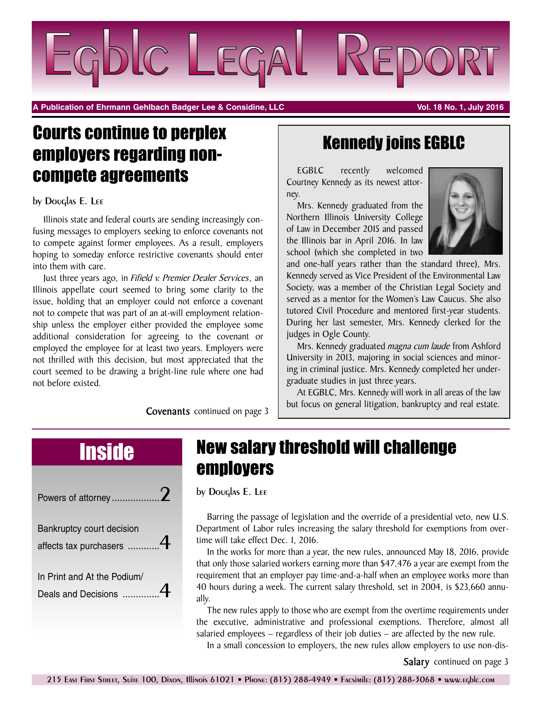

**A Publication of Ehrmann Gehlbach Badger Lee & Considine, LLC Vol. 18 No. 1, July 2016**

## Courts continue to perplex employers regarding noncompete agreements

### by Douglas E. Lee

Illinois state and federal courts are sending increasingly confusing messages to employers seeking to enforce covenants not to compete against former employees. As a result, employers hoping to someday enforce restrictive covenants should enter into them with care.

Just three years ago, in *Fifield v. Premier Dealer Services*, an Illinois appellate court seemed to bring some clarity to the issue, holding that an employer could not enforce a covenant not to compete that was part of an at-will employment relationship unless the employer either provided the employee some additional consideration for agreeing to the covenant or employed the employee for at least two years. Employers were not thrilled with this decision, but most appreciated that the court seemed to be drawing a bright-line rule where one had not before existed.

**Covenants** continued on page 3

### Kennedy joins EGBLC

EGBLC recently welcomed Courtney Kennedy as its newest attorney.

Mrs. Kennedy graduated from the Northern Illinois University College of Law in December 2015 and passed the Illinois bar in April 2016. In law school (which she completed in two



and one-half years rather than the standard three), Mrs. Kennedy served as Vice President of the Environmental Law Society, was a member of the Christian Legal Society and served as a mentor for the Women's Law Caucus. She also tutored Civil Procedure and mentored first-year students. During her last semester, Mrs. Kennedy clerked for the judges in Ogle County.

Mrs. Kennedy graduated *magna cum laude* from Ashford University in 2013, majoring in social sciences and minoring in criminal justice. Mrs. Kennedy completed her undergraduate studies in just three years.

At EGBLC, Mrs. Kennedy will work in all areas of the law but focus on general litigation, bankruptcy and real estate.

| Powers of attorney                                  |  |
|-----------------------------------------------------|--|
| Bankruptcy court decision<br>affects tax purchasers |  |
| In Print and At the Podium/<br>Deals and Decisions  |  |

## Inside New salary threshold will challenge employers

by Douglas E. Lee

Barring the passage of legislation and the override of a presidential veto, new U.S. Department of Labor rules increasing the salary threshold for exemptions from overtime will take effect Dec. 1, 2016.

In the works for more than a year, the new rules, announced May 18, 2016, provide that only those salaried workers earning more than \$47,476 a year are exempt from the requirement that an employer pay time-and-a-half when an employee works more than 40 hours during a week. The current salary threshold, set in 2004, is \$23,660 annually.

The new rules apply to those who are exempt from the overtime requirements under the executive, administrative and professional exemptions. Therefore, almost all salaried employees – regardless of their job duties – are affected by the new rule.

In a small concession to employers, the new rules allow employers to use non-dis-

**Salary** continued on page 3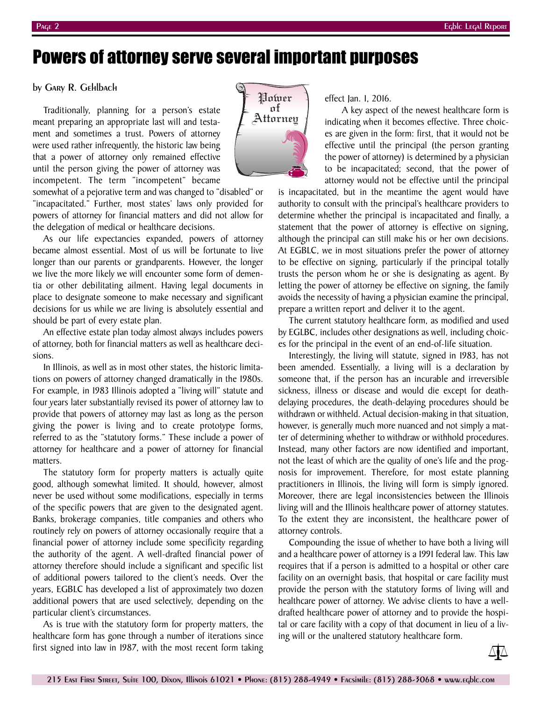### Powers of attorney serve several important purposes

### by Gary R. Gehlbach

Traditionally, planning for a person's estate meant preparing an appropriate last will and testament and sometimes a trust. Powers of attorney were used rather infrequently, the historic law being that a power of attorney only remained effective until the person giving the power of attorney was incompetent. The term "incompetent" became



somewhat of a pejorative term and was changed to "disabled" or "incapacitated." Further, most states' laws only provided for powers of attorney for financial matters and did not allow for the delegation of medical or healthcare decisions.

As our life expectancies expanded, powers of attorney became almost essential. Most of us will be fortunate to live longer than our parents or grandparents. However, the longer we live the more likely we will encounter some form of dementia or other debilitating ailment. Having legal documents in place to designate someone to make necessary and significant decisions for us while we are living is absolutely essential and should be part of every estate plan.

An effective estate plan today almost always includes powers of attorney, both for financial matters as well as healthcare decisions.

In Illinois, as well as in most other states, the historic limitations on powers of attorney changed dramatically in the 1980s. For example, in 1983 Illinois adopted a "living will" statute and four years later substantially revised its power of attorney law to provide that powers of attorney may last as long as the person giving the power is living and to create prototype forms, referred to as the "statutory forms." These include a power of attorney for healthcare and a power of attorney for financial matters.

The statutory form for property matters is actually quite good, although somewhat limited. It should, however, almost never be used without some modifications, especially in terms of the specific powers that are given to the designated agent. Banks, brokerage companies, title companies and others who routinely rely on powers of attorney occasionally require that a financial power of attorney include some specificity regarding the authority of the agent. A well-drafted financial power of attorney therefore should include a significant and specific list of additional powers tailored to the client's needs. Over the years, EGBLC has developed a list of approximately two dozen additional powers that are used selectively, depending on the particular client's circumstances.

As is true with the statutory form for property matters, the healthcare form has gone through a number of iterations since first signed into law in 1987, with the most recent form taking

effect Jan. 1, 2016.

A key aspect of the newest healthcare form is indicating when it becomes effective. Three choices are given in the form: first, that it would not be effective until the principal (the person granting the power of attorney) is determined by a physician to be incapacitated; second, that the power of attorney would not be effective until the principal

is incapacitated, but in the meantime the agent would have authority to consult with the principal's healthcare providers to determine whether the principal is incapacitated and finally, a statement that the power of attorney is effective on signing, although the principal can still make his or her own decisions. At EGBLC, we in most situations prefer the power of attorney to be effective on signing, particularly if the principal totally trusts the person whom he or she is designating as agent. By letting the power of attorney be effective on signing, the family avoids the necessity of having a physician examine the principal, prepare a written report and deliver it to the agent.

The current statutory healthcare form, as modified and used by EGLBC, includes other designations as well, including choices for the principal in the event of an end-of-life situation.

Interestingly, the living will statute, signed in 1983, has not been amended. Essentially, a living will is a declaration by someone that, if the person has an incurable and irreversible sickness, illness or disease and would die except for deathdelaying procedures, the death-delaying procedures should be withdrawn or withheld. Actual decision-making in that situation, however, is generally much more nuanced and not simply a matter of determining whether to withdraw or withhold procedures. Instead, many other factors are now identified and important, not the least of which are the quality of one's life and the prognosis for improvement. Therefore, for most estate planning practitioners in Illinois, the living will form is simply ignored. Moreover, there are legal inconsistencies between the Illinois living will and the Illinois healthcare power of attorney statutes. To the extent they are inconsistent, the healthcare power of attorney controls.

Compounding the issue of whether to have both a living will and a healthcare power of attorney is a 1991 federal law. This law requires that if a person is admitted to a hospital or other care facility on an overnight basis, that hospital or care facility must provide the person with the statutory forms of living will and healthcare power of attorney. We advise clients to have a welldrafted healthcare power of attorney and to provide the hospital or care facility with a copy of that document in lieu of a living will or the unaltered statutory healthcare form.

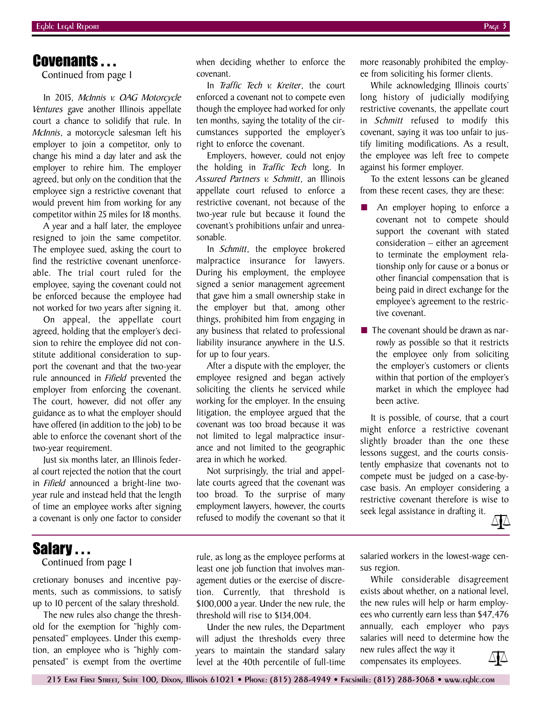### Covenants . . .

Continued from page 1

In 2015, *McInnis v. OAG Motorcycle Ventures* gave another Illinois appellate court a chance to solidify that rule. In *McInnis*, a motorcycle salesman left his employer to join a competitor, only to change his mind a day later and ask the employer to rehire him. The employer agreed, but only on the condition that the employee sign a restrictive covenant that would prevent him from working for any competitor within 25 miles for 18 months.

A year and a half later, the employee resigned to join the same competitor. The employee sued, asking the court to find the restrictive covenant unenforceable. The trial court ruled for the employee, saying the covenant could not be enforced because the employee had not worked for two years after signing it.

On appeal, the appellate court agreed, holding that the employer's decision to rehire the employee did not constitute additional consideration to support the covenant and that the two-year rule announced in *Fifield* prevented the employer from enforcing the covenant. The court, however, did not offer any guidance as to what the employer should have offered (in addition to the job) to be able to enforce the covenant short of the two-year requirement.

Just six months later, an Illinois federal court rejected the notion that the court in *Fifield* announced a bright-line twoyear rule and instead held that the length of time an employee works after signing a covenant is only one factor to consider when deciding whether to enforce the covenant.

In *Traffic Tech v. Kreiter*, the court enforced a covenant not to compete even though the employee had worked for only ten months, saying the totality of the circumstances supported the employer's right to enforce the covenant.

Employers, however, could not enjoy the holding in *Traffic Tech* long. In *Assured Partners v. Schmitt*, an Illinois appellate court refused to enforce a restrictive covenant, not because of the two-year rule but because it found the covenant's prohibitions unfair and unreasonable.

In *Schmitt*, the employee brokered malpractice insurance for lawyers. During his employment, the employee signed a senior management agreement that gave him a small ownership stake in the employer but that, among other things, prohibited him from engaging in any business that related to professional liability insurance anywhere in the U.S. for up to four years.

After a dispute with the employer, the employee resigned and began actively soliciting the clients he serviced while working for the employer. In the ensuing litigation, the employee argued that the covenant was too broad because it was not limited to legal malpractice insurance and not limited to the geographic area in which he worked.

Not surprisingly, the trial and appellate courts agreed that the covenant was too broad. To the surprise of many employment lawyers, however, the courts refused to modify the covenant so that it more reasonably prohibited the employee from soliciting his former clients.

While acknowledging Illinois courts' long history of judicially modifying restrictive covenants, the appellate court in *Schmitt* refused to modify this covenant, saying it was too unfair to justify limiting modifications. As a result, the employee was left free to compete against his former employer.

To the extent lessons can be gleaned from these recent cases, they are these:

- An employer hoping to enforce a covenant not to compete should support the covenant with stated consideration – either an agreement to terminate the employment relationship only for cause or a bonus or other financial compensation that is being paid in direct exchange for the employee's agreement to the restrictive covenant.
- The covenant should be drawn as narrowly as possible so that it restricts the employee only from soliciting the employer's customers or clients within that portion of the employer's market in which the employee had been active.

It is possible, of course, that a court might enforce a restrictive covenant slightly broader than the one these lessons suggest, and the courts consistently emphasize that covenants not to compete must be judged on a case-bycase basis. An employer considering a restrictive covenant therefore is wise to seek legal assistance in drafting it.



### Salary ...

Continued from page 1

cretionary bonuses and incentive payments, such as commissions, to satisfy up to 10 percent of the salary threshold.

The new rules also change the threshold for the exemption for "highly compensated" employees. Under this exemption, an employee who is "highly compensated" is exempt from the overtime rule, as long as the employee performs at least one job function that involves management duties or the exercise of discretion. Currently, that threshold is \$100,000 a year. Under the new rule, the threshold will rise to \$134,004.

Under the new rules, the Department will adjust the thresholds every three years to maintain the standard salary level at the 40th percentile of full-time

salaried workers in the lowest-wage census region.

While considerable disagreement exists about whether, on a national level, the new rules will help or harm employees who currently earn less than \$47,476 annually, each employer who pays salaries will need to determine how the new rules affect the way it

compensates its employees.